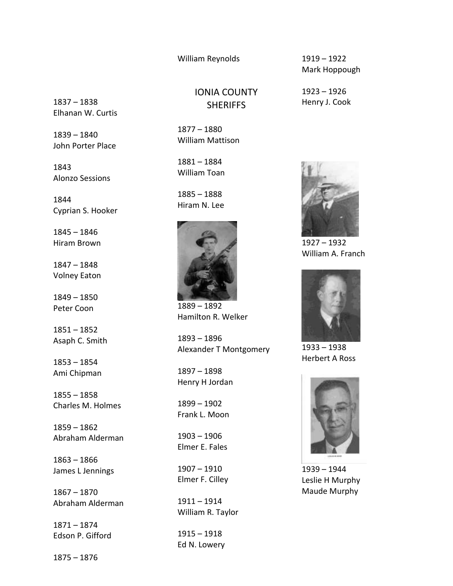William Reynolds

1837 – 1838 Elhanan W. Curtis

1839 – 1840 John Porter Place

1843 Alonzo Sessions

1844 Cyprian S. Hooker

1845 – 1846 Hiram Brown

1847 – 1848 Volney Eaton

1849 – 1850 Peter Coon

1851 – 1852 Asaph C. Smith

1853 – 1854 Ami Chipman

1855 – 1858 Charles M. Holmes

1859 – 1862 Abraham Alderman

1863 – 1866 James L Jennings

1867 – 1870 Abraham Alderman

1871 – 1874 Edson P. Gifford

1875 – 1876

IONIA COUNTY **SHERIFFS** 

1877 – 1880 William Mattison

1881 – 1884 William Toan

1885 – 1888 Hiram N. Lee



1889 – 1892 Hamilton R. Welker

1893 – 1896 Alexander T Montgomery

1897 – 1898 Henry H Jordan

1899 – 1902 Frank L. Moon

1903 – 1906 Elmer E. Fales

1907 – 1910 Elmer F. Cilley

1911 – 1914 William R. Taylor

1915 – 1918 Ed N. Lowery 1919 – 1922 Mark Hoppough

1923 – 1926 Henry J. Cook



1927 – 1932 William A. Franch



1933 – 1938 Herbert A Ross



1939 – 1944 Leslie H Murphy Maude Murphy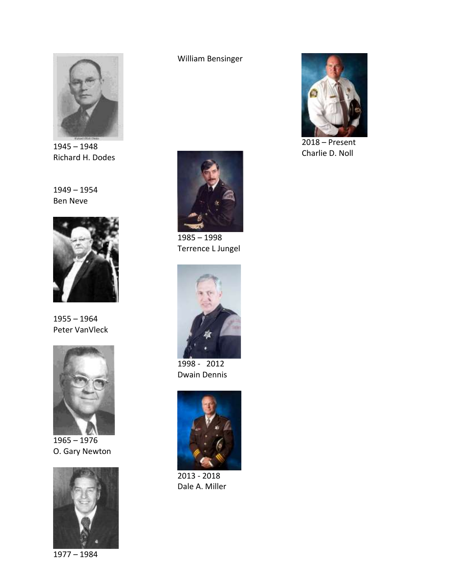

1945 – 1948 Richard H. Dodes

1949 – 1954 Ben Neve



1955 – 1964 Peter VanVleck



1965 – 1976 O. Gary Newton



1977 – 1984

William Bensinger



1985 – 1998 Terrence L Jungel



1998 - 2012 Dwain Dennis



2013 - 2018 Dale A. Miller



2018 – Present Charlie D. Noll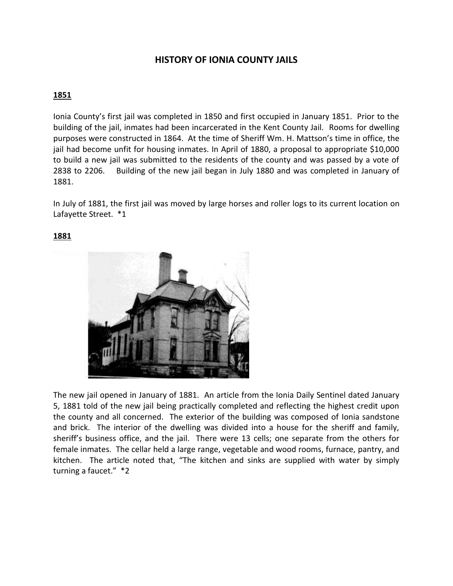# **HISTORY OF IONIA COUNTY JAILS**

## **1851**

Ionia County's first jail was completed in 1850 and first occupied in January 1851. Prior to the building of the jail, inmates had been incarcerated in the Kent County Jail. Rooms for dwelling purposes were constructed in 1864. At the time of Sheriff Wm. H. Mattson's time in office, the jail had become unfit for housing inmates. In April of 1880, a proposal to appropriate \$10,000 to build a new jail was submitted to the residents of the county and was passed by a vote of 2838 to 2206. Building of the new jail began in July 1880 and was completed in January of 1881.

In July of 1881, the first jail was moved by large horses and roller logs to its current location on Lafayette Street. \*1

### **1881**



The new jail opened in January of 1881. An article from the Ionia Daily Sentinel dated January 5, 1881 told of the new jail being practically completed and reflecting the highest credit upon the county and all concerned. The exterior of the building was composed of Ionia sandstone and brick. The interior of the dwelling was divided into a house for the sheriff and family, sheriff's business office, and the jail. There were 13 cells; one separate from the others for female inmates. The cellar held a large range, vegetable and wood rooms, furnace, pantry, and kitchen. The article noted that, "The kitchen and sinks are supplied with water by simply turning a faucet." \*2